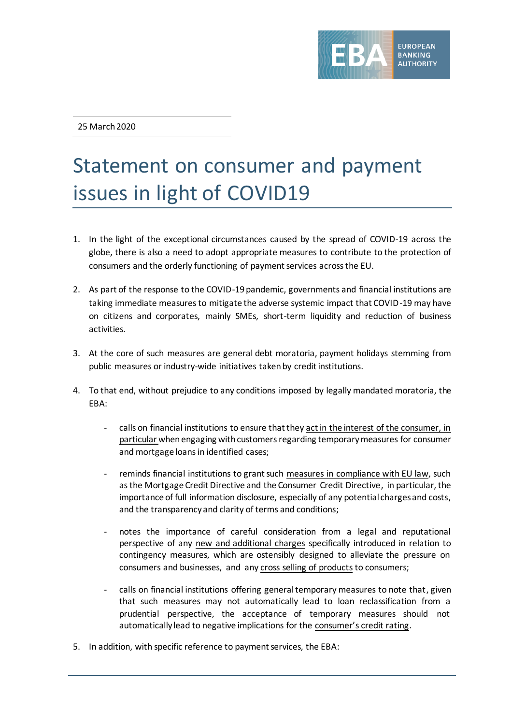

25 March 2020

## Statement on consumer and payment issues in light of COVID19

- 1. In the light of the exceptional circumstances caused by the spread of COVID-19 across the globe, there is also a need to adopt appropriate measures to contribute to the protection of consumers and the orderly functioning of payment services across the EU.
- 2. As part of the response to the COVID-19 pandemic, governments and financial institutions are taking immediate measures to mitigate the adverse systemic impact that COVID-19 may have on citizens and corporates, mainly SMEs, short-term liquidity and reduction of business activities.
- 3. At the core of such measures are general debt moratoria, payment holidays stemming from public measures or industry-wide initiatives taken by credit institutions.
- 4. To that end, without prejudice to any conditions imposed by legally mandated moratoria, the EBA:
	- calls on financial institutions to ensure that they act in the interest of the consumer, in particular whenengaging with customers regarding temporary measures for consumer and mortgage loans in identified cases;
	- reminds financial institutions to grant such measures in compliance with EU law, such as the Mortgage Credit Directive and the Consumer Credit Directive, in particular, the importance of full information disclosure, especially of any potential charges and costs, and the transparency and clarity of terms and conditions;
	- notes the importance of careful consideration from a legal and reputational perspective of any new and additional charges specifically introduced in relation to contingency measures, which are ostensibly designed to alleviate the pressure on consumers and businesses, and any cross selling of products to consumers;
	- calls on financial institutions offering general temporary measures to note that, given that such measures may not automatically lead to loan reclassification from a prudential perspective, the acceptance of temporary measures should not automatically lead to negative implications for the consumer's credit rating.
- 5. In addition, with specific reference to payment services, the EBA: